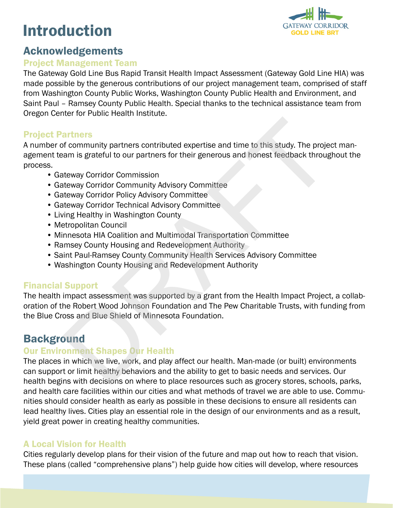# Introduction



## Acknowledgements

#### Project Management Team

The Gateway Gold Line Bus Rapid Transit Health Impact Assessment (Gateway Gold Line HIA) was made possible by the generous contributions of our project management team, comprised of staff from Washington County Public Works, Washington County Public Health and Environment, and Saint Paul – Ramsey County Public Health. Special thanks to the technical assistance team from Oregon Center for Public Health Institute.

## Project Partners

A number of community partners contributed expertise and time to this study. The project management team is grateful to our partners for their generous and honest feedback throughout the process.

- Gateway Corridor Commission
- Gateway Corridor Community Advisory Committee
- Gateway Corridor Policy Advisory Committee
- Gateway Corridor Technical Advisory Committee
- Living Healthy in Washington County
- Metropolitan Council
- Minnesota HIA Coalition and Multimodal Transportation Committee
- Ramsey County Housing and Redevelopment Authority
- Saint Paul-Ramsey County Community Health Services Advisory Committee
- Washington County Housing and Redevelopment Authority

## Financial Support

The health impact assessment was supported by a grant from the Health Impact Project, a collaboration of the Robert Wood Johnson Foundation and The Pew Charitable Trusts, with funding from the Blue Cross and Blue Shield of Minnesota Foundation. **artners**<br>
of community partners contributed expertise and time to this study. The projet<br>
arm is grateful to our partners for their generous and honest feedback throug<br>
terway Corridor Community Advisory Committee<br>
terway

## **Background**

#### Our Environment Shapes Our Health

The places in which we live, work, and play affect our health. Man-made (or built) environments can support or limit healthy behaviors and the ability to get to basic needs and services. Our health begins with decisions on where to place resources such as grocery stores, schools, parks, and health care facilities within our cities and what methods of travel we are able to use. Communities should consider health as early as possible in these decisions to ensure all residents can lead healthy lives. Cities play an essential role in the design of our environments and as a result, yield great power in creating healthy communities.

## A Local Vision for Health

Cities regularly develop plans for their vision of the future and map out how to reach that vision. These plans (called "comprehensive plans") help guide how cities will develop, where resources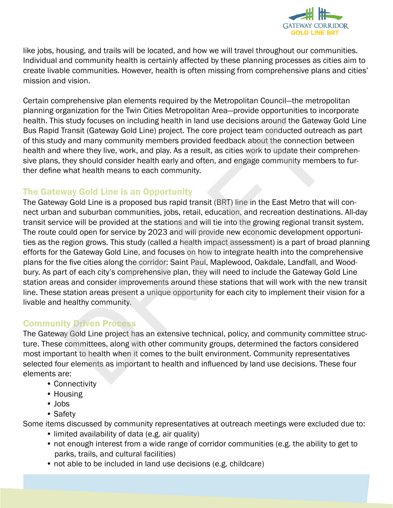

like jobs, housing, and trails will be located, and how we will travel throughout our communities. Individual and community health is certainly affected by these planning processes as cities aim to create livable communities. However, health is often missing from comprehensive plans and cities' mission and vision.

Certain comprehensive plan elements required by the Metropolitan Council—the metropolitan planning organization for the Twin Cities Metropolitan Area—provide opportunities to incorporate health. This study focuses on including health in land use decisions around the Gateway Gold Line Bus Rapid Transit (Gateway Gold Line) project. The core project team conducted outreach as part of this study and many community members provided feedback about the connection between health and where they live, work, and play. As a result, as cities work to update their comprehensive plans, they should consider health early and often, and engage community members to further define what health means to each community.

#### The Gateway Gold Line is an Opportunity

The Gateway Gold Line is a proposed bus rapid transit (BRT) line in the East Metro that will connect urban and suburban communities, jobs, retail, education, and recreation destinations. All-day transit service will be provided at the stations and will tie into the growing regional transit system. The route could open for service by 2023 and will provide new economic development opportunities as the region grows. This study (called a health impact assessment) is a part of broad planning efforts for the Gateway Gold Line, and focuses on how to integrate health into the comprehensive plans for the five cities along the corridor: Saint Paul, Maplewood, Oakdale, Landfall, and Woodbury. As part of each city's comprehensive plan, they will need to include the Gateway Gold Line station areas and consider improvements around these stations that will work with the new transit line. These station areas present a unique opportunity for each city to implement their vision for a livable and healthy community. is study focuses on including health in land use decisions around the Gateway<br>Transit (Gateway Gold Line) project. The core project tem conducted outreac<br>and many community members provided feedback about the connection be

#### Community Driven Process

The Gateway Gold Line project has an extensive technical, policy, and community committee structure. These committees, along with other community groups, determined the factors considered most important to health when it comes to the built environment. Community representatives selected four elements as important to health and influenced by land use decisions. These four elements are:

- Connectivity
- Housing
- Jobs
- Safety

Some items discussed by community representatives at outreach meetings were excluded due to:

- limited availability of data (e.g. air quality)
- not enough interest from a wide range of corridor communities (e.g. the ability to get to parks, trails, and cultural facilities)
- not able to be included in land use decisions (e.g. childcare)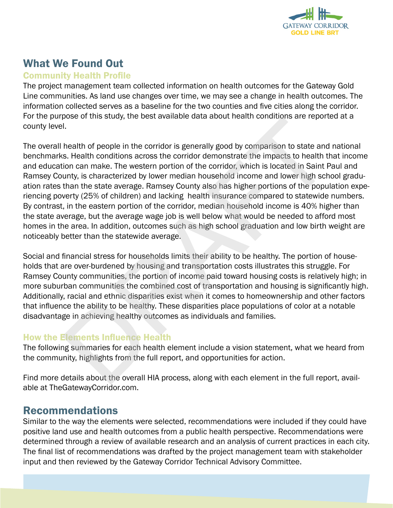

# What We Found Out

#### Community Health Profile

The project management team collected information on health outcomes for the Gateway Gold Line communities. As land use changes over time, we may see a change in health outcomes. The information collected serves as a baseline for the two counties and five cities along the corridor. For the purpose of this study, the best available data about health conditions are reported at a county level.

The overall health of people in the corridor is generally good by comparison to state and national benchmarks. Health conditions across the corridor demonstrate the impacts to health that income and education can make. The western portion of the corridor, which is located in Saint Paul and Ramsey County, is characterized by lower median household income and lower high school graduation rates than the state average. Ramsey County also has higher portions of the population experiencing poverty (25% of children) and lacking health insurance compared to statewide numbers. By contrast, in the eastern portion of the corridor, median household income is 40% higher than the state average, but the average wage job is well below what would be needed to afford most homes in the area. In addition, outcomes such as high school graduation and low birth weight are noticeably better than the statewide average. bused in this study, the best available dual about health collutions are reported.<br>I. A health of people in the corridor is generally good by comparison to state and<br>s. Health conditions across the corridor demonstrate the

Social and financial stress for households limits their ability to be healthy. The portion of households that are over-burdened by housing and transportation costs illustrates this struggle. For Ramsey County communities, the portion of income paid toward housing costs is relatively high; in more suburban communities the combined cost of transportation and housing is significantly high. Additionally, racial and ethnic disparities exist when it comes to homeownership and other factors that influence the ability to be healthy. These disparities place populations of color at a notable disadvantage in achieving healthy outcomes as individuals and families.

#### How the Elements Influence Health

The following summaries for each health element include a vision statement, what we heard from the community, highlights from the full report, and opportunities for action.

Find more details about the overall HIA process, along with each element in the full report, available at TheGatewayCorridor.com.

## Recommendations

Similar to the way the elements were selected, recommendations were included if they could have positive land use and health outcomes from a public health perspective. Recommendations were determined through a review of available research and an analysis of current practices in each city. The final list of recommendations was drafted by the project management team with stakeholder input and then reviewed by the Gateway Corridor Technical Advisory Committee.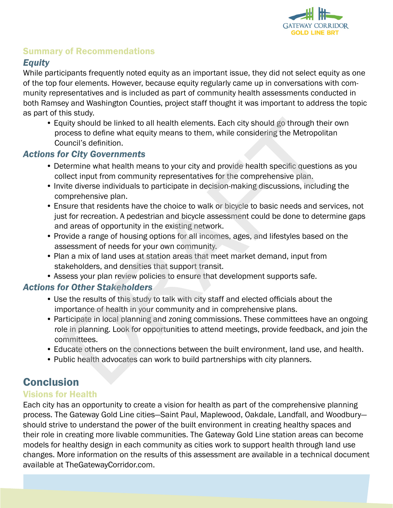

## Summary of Recommendations

#### *Equity*

While participants frequently noted equity as an important issue, they did not select equity as one of the top four elements. However, because equity regularly came up in conversations with community representatives and is included as part of community health assessments conducted in both Ramsey and Washington Counties, project staff thought it was important to address the topic as part of this study.

• Equity should be linked to all health elements. Each city should go through their own process to define what equity means to them, while considering the Metropolitan Council's definition. uity should be linked to all health elements. Each city should go through their<br>cocess to define what equity means to them, while considering the Metropolite<br>concess to define what equity means to them, while considering t

#### *Actions for City Governments*

- Determine what health means to your city and provide health specific questions as you collect input from community representatives for the comprehensive plan.
- Invite diverse individuals to participate in decision-making discussions, including the comprehensive plan.
- Ensure that residents have the choice to walk or bicycle to basic needs and services, not just for recreation. A pedestrian and bicycle assessment could be done to determine gaps and areas of opportunity in the existing network.
- Provide a range of housing options for all incomes, ages, and lifestyles based on the assessment of needs for your own community.
- Plan a mix of land uses at station areas that meet market demand, input from stakeholders, and densities that support transit.
- Assess your plan review policies to ensure that development supports safe.

#### *Actions for Other Stakeholders*

- Use the results of this study to talk with city staff and elected officials about the importance of health in your community and in comprehensive plans.
- Participate in local planning and zoning commissions. These committees have an ongoing role in planning. Look for opportunities to attend meetings, provide feedback, and join the committees.
- Educate others on the connections between the built environment, land use, and health.
- Public health advocates can work to build partnerships with city planners.

# **Conclusion**

#### Visions for Health

Each city has an opportunity to create a vision for health as part of the comprehensive planning process. The Gateway Gold Line cities—Saint Paul, Maplewood, Oakdale, Landfall, and Woodbury should strive to understand the power of the built environment in creating healthy spaces and their role in creating more livable communities. The Gateway Gold Line station areas can become models for healthy design in each community as cities work to support health through land use changes. More information on the results of this assessment are available in a technical document available at TheGatewayCorridor.com.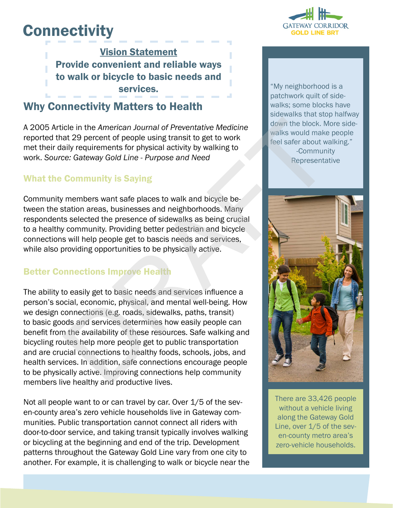# **Connectivity**

Vision Statement Provide convenient and reliable ways to walk or bicycle to basic needs and services.

# Why Connectivity Matters to Health

A 2005 Article in the *American Journal of Preventative Medicine* reported that 29 percent of people using transit to get to work met their daily requirements for physical activity by walking to work. *Source: Gateway Gold Line - Purpose and Need*

## What the Community is Saying

Community members want safe places to walk and bicycle between the station areas, businesses and neighborhoods. Many respondents selected the presence of sidewalks as being crucial to a healthy community. Providing better pedestrian and bicycle connections will help people get to bascis needs and services, while also providing opportunities to be physically active.

## Better Connections Improve Health

The ability to easily get to basic needs and services influence a person's social, economic, physical, and mental well-being. How we design connections (e.g. roads, sidewalks, paths, transit) to basic goods and services determines how easily people can benefit from the availability of these resources. Safe walking and bicycling routes help more people get to public transportation and are crucial connections to healthy foods, schools, jobs, and health services. In addition, safe connections encourage people to be physically active. Improving connections help community members live healthy and productive lives. icle in the *American Journal of Preventative Medicine*<br>
at 29 percent of people using transit to get to work<br>
aily requirements for physical activity by walking to<br>
se: Gateway Gold Line - Purpose and Need<br>
Community is S

Not all people want to or can travel by car. Over 1/5 of the seven-county area's zero vehicle households live in Gateway communities. Public transportation cannot connect all riders with door-to-door service, and taking transit typically involves walking or bicycling at the beginning and end of the trip. Development patterns throughout the Gateway Gold Line vary from one city to another. For example, it is challenging to walk or bicycle near the



"My neighborhood is a patchwork quilt of sidewalks; some blocks have sidewalks that stop halfway down the block. More sidewalks would make people feel safer about walking." -Community

Representative



There are 33,426 people without a vehicle living along the Gateway Gold Line, over 1/5 of the seven-county metro area's zero-vehicle households.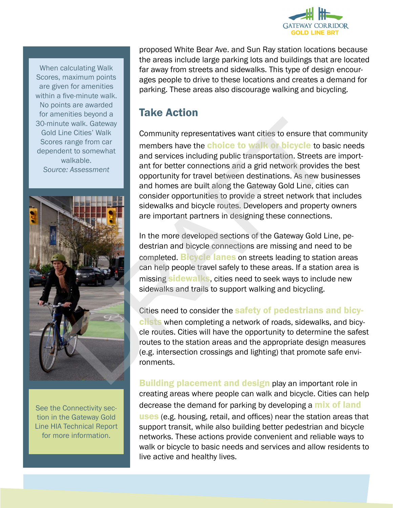

When calculating Walk Scores, maximum points are given for amenities within a five-minute walk. No points are awarded for amenities beyond a 30-minute walk. Gateway Gold Line Cities' Walk Scores range from car dependent to somewhat walkable. *Source: Assessment*



See the Connectivity section in the Gateway Gold Line HIA Technical Report for more information.

proposed White Bear Ave. and Sun Ray station locations because the areas include large parking lots and buildings that are located far away from streets and sidewalks. This type of design encourages people to drive to these locations and creates a demand for parking. These areas also discourage walking and bicycling.

# Take Action

Community representatives want cities to ensure that community members have the **choice to walk or bicycle** to basic needs and services including public transportation. Streets are important for better connections and a grid network provides the best opportunity for travel between destinations. As new businesses and homes are built along the Gateway Gold Line, cities can consider opportunities to provide a street network that includes sidewalks and bicycle routes. Developers and property owners are important partners in designing these connections. te walk. Gateway<br>
range from car<br>
range form car<br>
range from car<br>
and services including public transportation. Streets are<br>
and services including public transportation. Streets are:<br>
Assessment<br>
and homes are built along

In the more developed sections of the Gateway Gold Line, pedestrian and bicycle connections are missing and need to be completed. **Bicycle lanes** on streets leading to station areas can help people travel safely to these areas. If a station area is missing **sidewalks**, cities need to seek ways to include new sidewalks and trails to support walking and bicycling.

Cities need to consider the safety of pedestrians and bicyclists when completing a network of roads, sidewalks, and bicycle routes. Cities will have the opportunity to determine the safest routes to the station areas and the appropriate design measures (e.g. intersection crossings and lighting) that promote safe environments.

Building placement and design play an important role in creating areas where people can walk and bicycle. Cities can help decrease the demand for parking by developing a **mix of land uses** (e.g. housing, retail, and offices) near the station areas that support transit, while also building better pedestrian and bicycle networks. These actions provide convenient and reliable ways to walk or bicycle to basic needs and services and allow residents to live active and healthy lives.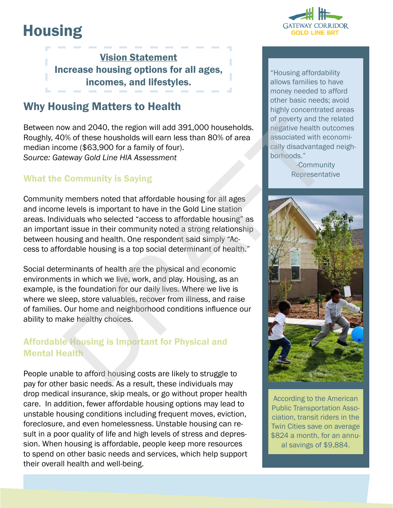# **Housing**



Vision Statement Increase housing options for all ages, incomes, and lifestyles.

# Why Housing Matters to Health

Between now and 2040, the region will add 391,000 households. Roughly, 40% of these housholds will earn less than 80% of area median income (\$63,900 for a family of four). *Source: Gateway Gold Line HIA Assessment*

## What the Community is Saying

Community members noted that affordable housing for all ages and income levels is important to have in the Gold Line station areas. Individuals who selected "access to affordable housing" as an important issue in their community noted a strong relationship between housing and health. One respondent said simply "Access to affordable housing is a top social determinant of health."

Social determinants of health are the physical and economic environments in which we live, work, and play. Housing, as an example, is the foundation for our daily lives. Where we live is where we sleep, store valuables, recover from illness, and raise of families. Our home and neighborhood conditions influence our ability to make healthy choices.

## Affordable Housing is Important for Physical and Mental Health

People unable to afford housing costs are likely to struggle to pay for other basic needs. As a result, these individuals may drop medical insurance, skip meals, or go without proper health care. In addition, fewer affordable housing options may lead to unstable housing conditions including frequent moves, eviction, foreclosure, and even homelessness. Unstable housing can result in a poor quality of life and high levels of stress and depression. When housing is affordable, people keep more resources to spend on other basic needs and services, which help support their overall health and well-being.

"Housing affordability allows families to have money needed to afford other basic needs; avoid highly concentrated areas of poverty and the related negative health outcomes associated with economically disadvantaged neighborhoods."

> -Community Representative



According to the American Public Transportation Association, transit riders in the Twin Cities save on average \$824 a month, for an annual savings of \$9,884.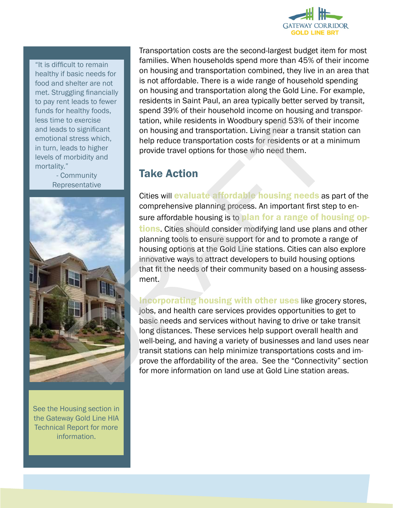

"It is difficult to remain healthy if basic needs for food and shelter are not met. Struggling financially to pay rent leads to fewer funds for healthy foods, less time to exercise and leads to significant emotional stress which, in turn, leads to higher levels of morbidity and mortality."

> - Community **Representative**



See the Housing section in the Gateway Gold Line HIA Technical Report for more information.

Transportation costs are the second-largest budget item for most families. When households spend more than 45% of their income on housing and transportation combined, they live in an area that is not affordable. There is a wide range of household spending on housing and transportation along the Gold Line. For example, residents in Saint Paul, an area typically better served by transit, spend 39% of their household income on housing and transportation, while residents in Woodbury spend 53% of their income on housing and transportation. Living near a transit station can help reduce transportation costs for residents or at a minimum provide travel options for those who need them.

# Take Action

Cities will evaluate affordable housing needs as part of the comprehensive planning process. An important first step to ensure affordable housing is to plan for a range of housing op**tions**. Cities should consider modifying land use plans and other planning tools to ensure support for and to promote a range of housing options at the Gold Line stations. Cities can also explore innovative ways to attract developers to build housing options that fit the needs of their community based on a housing assessment. tation, while residents in Woodbury spend 53% of their<br>
al stess which,<br>
al al stess which,<br>
help reduce transportation. Living near a transit sta<br>
morbidity and<br>
morbidity and<br>
resentative<br>
community<br>
Take Action<br>
Cities

Incorporating housing with other uses like grocery stores, jobs, and health care services provides opportunities to get to basic needs and services without having to drive or take transit long distances. These services help support overall health and well-being, and having a variety of businesses and land uses near transit stations can help minimize transportations costs and improve the affordability of the area. See the "Connectivity" section for more information on land use at Gold Line station areas.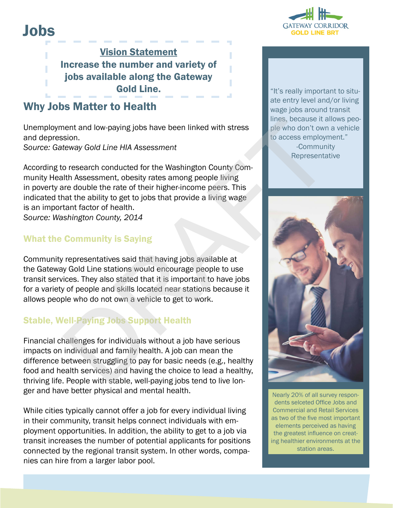

# Jobs

Vision Statement Increase the number and variety of jobs available along the Gateway Gold Line. The state of the state of the state of the state of the state of the state of the state of the state of the state of the state of the state of the state of the state of the state of the state of the state of the

## Why Jobs Matter to Health

Unemployment and low-paying jobs have been linked with stress and depression. *Source: Gateway Gold Line HIA Assessment*

According to research conducted for the Washington County Community Health Assessment, obesity rates among people living in poverty are double the rate of their higher-income peers. This indicated that the ability to get to jobs that provide a living wage is an important factor of health.

*Source: Washington County, 2014*

## What the Community is Saying

Community representatives said that having jobs available at the Gateway Gold Line stations would encourage people to use transit services. They also stated that it is important to have jobs for a variety of people and skills located near stations because it allows people who do not own a vehicle to get to work.

## Stable, Well-Paying Jobs Support Health

Financial challenges for individuals without a job have serious impacts on individual and family health. A job can mean the difference between struggling to pay for basic needs (e.g., healthy food and health services) and having the choice to lead a healthy, thriving life. People with stable, well-paying jobs tend to live longer and have better physical and mental health.

While cities typically cannot offer a job for every individual living in their community, transit helps connect individuals with employment opportunities. In addition, the ability to get to a job via transit increases the number of potential applicants for positions connected by the regional transit system. In other words, companies can hire from a larger labor pool.

ate entry level and/or living wage jobs around transit lines, because it allows people who don't own a vehicle to access employment." -Community Representative



Nearly 20% of all survey respondents selceted Office Jobs and Commercial and Retail Services as two of the five most important elements perceived as having the greatest influence on creating healthier environments at the station areas.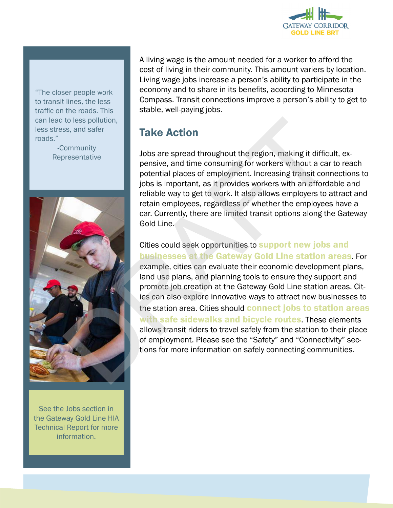

"The closer people work to transit lines, the less traffic on the roads. This can lead to less pollution, less stress, and safer roads."

> -Community Representative



See the Jobs section in the Gateway Gold Line HIA Technical Report for more information.

A living wage is the amount needed for a worker to afford the cost of living in their community. This amount variers by location. Living wage jobs increase a person's ability to participate in the economy and to share in its benefits, acoording to Minnesota Compass. Transit connections improve a person's ability to get to stable, well-paying jobs.

# Take Action

Jobs are spread throughout the region, making it difficult, expensive, and time consuming for workers without a car to reach potential places of employment. Increasing transit connections to jobs is important, as it provides workers with an affordable and reliable way to get to work. It also allows employers to attract and retain employees, regardless of whether the employees have a car. Currently, there are limited transit options along the Gateway Gold Line.

Cities could seek opportunities to **support new jobs and** businesses at the Gateway Gold Line station areas. For example, cities can evaluate their economic development plans, land use plans, and planning tools to ensure they support and promote job creation at the Gateway Gold Line station areas. Cities can also explore innovative ways to attract new businesses to the station area. Cities should connect jobs to station areas with safe sidewalks and bicycle routes. These elements allows transit riders to travel safely from the station to their place of employment. Please see the "Safety" and "Connectivity" sections for more information on safely connecting communities. to less pollution,<br>
Jake Action<br>
Jobs are spread throughout the region, making it difficulties<br>
prosentative<br>
potential places of employment. Increasing transit connect<br>
potential potential position as it provides workers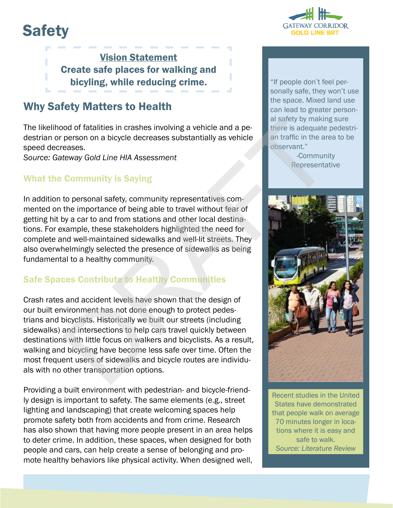# **Safety**



Vision Statement Create safe places for walking and bicyling, while reducing crime. The latter of the figure of the per-

# Why Safety Matters to Health

The likelihood of fatalities in crashes involving a vehicle and a pedestrian or person on a bicycle decreases substantially as vehicle speed decreases.

*Source: Gateway Gold Line HIA Assessment*

#### What the Community is Saying

In addition to personal safety, community representatives commented on the importance of being able to travel without fear of getting hit by a car to and from stations and other local destinations. For example, these stakeholders highlighted the need for complete and well-maintained sidewalks and well-lit streets. They also overwhelmingly selected the presence of sidewalks as being fundamental to a healthy community.

## Safe Spaces Contribute to Healthy Communities

Crash rates and accident levels have shown that the design of our built environment has not done enough to protect pedestrians and bicyclists. Historically we built our streets (including sidewalks) and intersections to help cars travel quickly between destinations with little focus on walkers and bicyclists. As a result, walking and bicycling have become less safe over time. Often the most frequent users of sidewalks and bicycle routes are individuals with no other transportation options. not of of fatalities in crashes involving a vehicle and a person on a bicycle decreases substantially as vehicle<br>there is adequate person on a bicycle decreases substantially as vehicle<br>there is adequate the areases.<br>
The

Providing a built environment with pedestrian- and bicycle-friendly design is important to safety. The same elements (e.g., street lighting and landscaping) that create welcoming spaces help promote safety both from accidents and from crime. Research has also shown that having more people present in an area helps to deter crime. In addition, these spaces, when designed for both people and cars, can help create a sense of belonging and promote healthy behaviors like physical activity. When designed well,

sonally safe, they won't use the space. Mixed land use can lead to greater personal safety by making sure there is adequate pedestrian traffic in the area to be observant."

> -Community Representative



Recent studies in the United States have demonstrated that people walk on average 70 minutes longer in locations where it is easy and safe to walk. *Source: Literature Review*